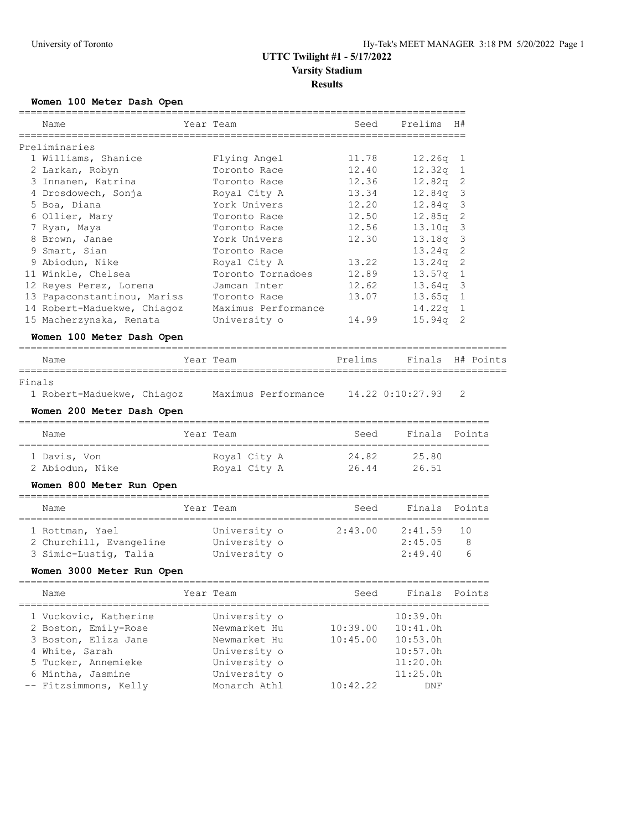# **UTTC Twilight #1 - 5/17/2022 Varsity Stadium**

**Results**

### **Women 100 Meter Dash Open**

|        | Name<br>============                  | Year Team<br>======================== | Seed     | Prelims<br>============= | H#             |           |
|--------|---------------------------------------|---------------------------------------|----------|--------------------------|----------------|-----------|
|        | Preliminaries                         |                                       |          |                          |                |           |
|        | 1 Williams, Shanice                   | Flying Angel                          | 11.78    | 12.26q                   | 1              |           |
|        | 2 Larkan, Robyn                       | Toronto Race                          | 12.40    | 12.32q                   | $\mathbf{1}$   |           |
|        | 3 Innanen, Katrina                    | Toronto Race                          | 12.36    | 12.82q                   | 2              |           |
|        | 4 Drosdowech, Sonja                   | Royal City A                          | 13.34    | 12.84q                   | 3              |           |
|        | 5 Boa, Diana                          | York Univers                          | 12.20    | 12.84q                   | 3              |           |
|        | 6 Ollier, Mary                        | Toronto Race                          | 12.50    | 12.85q                   | 2              |           |
|        | 7 Ryan, Maya                          | Toronto Race                          | 12.56    | 13.10q                   | 3              |           |
|        | 8 Brown, Janae                        | York Univers                          | 12.30    | 13.18q                   | 3              |           |
|        | 9 Smart, Sian                         | Toronto Race                          |          | 13.24g                   | 2              |           |
|        | 9 Abiodun, Nike                       | Royal City A                          | 13.22    | 13.24q                   | $\overline{2}$ |           |
|        | 11 Winkle, Chelsea                    | Toronto Tornadoes                     | 12.89    | 13.57q                   | $\mathbf{1}$   |           |
|        | 12 Reyes Perez, Lorena                | Jamcan Inter                          | 12.62    | 13.64q                   | 3              |           |
|        | 13 Papaconstantinou, Mariss           | Toronto Race                          | 13.07    | 13.65q                   | $\mathbf{1}$   |           |
|        | 14 Robert-Maduekwe, Chiagoz           | Maximus Performance                   |          | 14.22q                   | $\mathbf 1$    |           |
|        | 15 Macherzynska, Renata               | University o                          | 14.99    | 15.94q                   | 2              |           |
|        | Women 100 Meter Dash Open             |                                       |          |                          |                |           |
|        | Name                                  | Year Team                             | Prelims  | Finals                   |                | H# Points |
| Finals |                                       |                                       |          |                          |                |           |
|        | 1 Robert-Maduekwe, Chiagoz            | Maximus Performance                   |          | 14.22 0:10:27.93         | $\mathfrak{D}$ |           |
|        |                                       |                                       |          |                          |                |           |
|        | Women 200 Meter Dash Open             |                                       |          |                          |                |           |
|        | Name                                  | Year Team                             | Seed     | Finals                   |                | Points    |
|        | 1 Davis, Von                          | Royal City A                          | 24.82    | 25.80                    |                |           |
|        | 2 Abiodun, Nike                       | Royal City A                          | 26.44    | 26.51                    |                |           |
|        | Women 800 Meter Run Open              |                                       |          |                          |                |           |
|        | ----------___________________________ | ---------------------                 |          | ------------------       |                |           |
|        | Name                                  | Year Team                             | Seed     | Finals                   |                | Points    |
|        | 1 Rottman, Yael                       | University o                          | 2:43.00  | 2:41.59                  | 10             |           |
|        | 2 Churchill, Evangeline               | University o                          |          | 2:45.05                  | 8              |           |
|        | 3 Simic-Lustig, Talia                 | University o                          |          | 2:49.40                  | 6              |           |
|        | Women 3000 Meter Run Open             |                                       |          |                          |                |           |
|        | Name                                  | Year Team                             | Seed     | Finals                   |                | Points    |
|        | 1 Vuckovic, Katherine                 | University o                          |          | 10:39.0h                 |                |           |
|        | 2 Boston, Emily-Rose                  | Newmarket Hu                          | 10:39.00 | 10:41.0h                 |                |           |
|        | 3 Boston, Eliza Jane                  | Newmarket Hu                          | 10:45.00 | 10:53.0h                 |                |           |
|        |                                       |                                       |          |                          |                |           |

4 White, Sarah University o 10:57.0h 5 Tucker, Annemieke University o 11:20.0h 6 Mintha, Jasmine University o 11:25.0h -- Fitzsimmons, Kelly Monarch Athl 10:42.22 DNF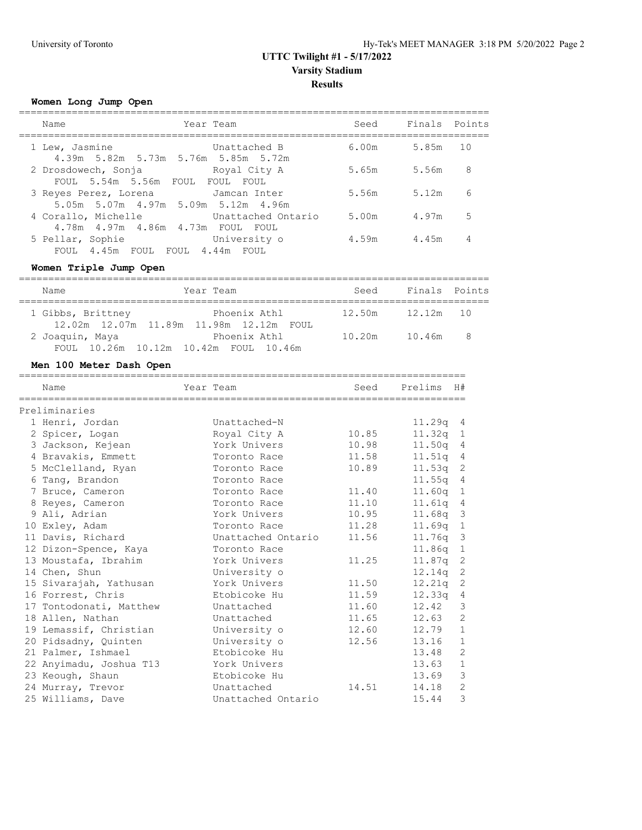## **UTTC Twilight #1 - 5/17/2022 Varsity Stadium Results**

### **Women Long Jump Open**

| Finals Points<br>Year Team<br>Seed<br>Name<br>6.00m<br>1 Lew, Jasmine<br>5.85m<br>10<br>Unattached B<br>4.39m 5.82m 5.73m 5.76m 5.85m 5.72m<br>8<br>2 Drosdowech, Sonja<br>5.65m<br>5.56m<br>Royal City A<br>FOUL 5.54m 5.56m FOUL FOUL<br>FOUL<br>6<br>5.56m<br>5.12m<br>3 Reyes Perez, Lorena<br>Jamcan Inter<br>5.05m 5.07m 4.97m 5.09m 5.12m 4.96m<br>5<br>5.00m<br>4 Corallo, Michelle<br>Unattached Ontario<br>4.97m<br>4.78m  4.97m  4.86m  4.73m  FOUL  FOUL<br>4<br>4.59m<br>4.45m<br>5 Pellar, Sophie<br>University o<br>FOUL 4.45m FOUL<br>FOUL 4.44m FOUL |  |  |  |
|-----------------------------------------------------------------------------------------------------------------------------------------------------------------------------------------------------------------------------------------------------------------------------------------------------------------------------------------------------------------------------------------------------------------------------------------------------------------------------------------------------------------------------------------------------------------------|--|--|--|
|                                                                                                                                                                                                                                                                                                                                                                                                                                                                                                                                                                       |  |  |  |
|                                                                                                                                                                                                                                                                                                                                                                                                                                                                                                                                                                       |  |  |  |
|                                                                                                                                                                                                                                                                                                                                                                                                                                                                                                                                                                       |  |  |  |
|                                                                                                                                                                                                                                                                                                                                                                                                                                                                                                                                                                       |  |  |  |
|                                                                                                                                                                                                                                                                                                                                                                                                                                                                                                                                                                       |  |  |  |
|                                                                                                                                                                                                                                                                                                                                                                                                                                                                                                                                                                       |  |  |  |

### **Women Triple Jump Open**

| Name              | Year Team                                               | Seed   | Finals Points |  |
|-------------------|---------------------------------------------------------|--------|---------------|--|
| 1 Gibbs, Brittney | Phoenix Athl<br>12.02m 12.07m 11.89m 11.98m 12.12m FOUL | 12.50m | $12.12m$ 10   |  |
| 2 Joaquin, Maya   | Phoenix Athl<br>FOUL 10.26m 10.12m 10.42m FOUL 10.46m   | 10.20m | 10.46m 8      |  |

### **Men 100 Meter Dash Open**

| Name                    | Year Team          | Seed  | Prelims            | H#             |
|-------------------------|--------------------|-------|--------------------|----------------|
| Preliminaries           |                    |       |                    |                |
| 1 Henri, Jordan         | Unattached-N       |       | $11.29q$ 4         |                |
| 2 Spicer, Logan         | Royal City A       | 10.85 | $11.32q$ 1         |                |
| 3 Jackson, Kejean       | York Univers       | 10.98 | 11.50 <sub>q</sub> | 4              |
| 4 Bravakis, Emmett      | Toronto Race       | 11.58 | 11.51q 4           |                |
| 5 McClelland, Ryan      | Toronto Race       | 10.89 | $11.53q$ 2         |                |
| 6 Tang, Brandon         | Toronto Race       |       | 11.55q             | 4              |
| 7 Bruce, Cameron        | Toronto Race       | 11.40 | $11.60q$ 1         |                |
| 8 Reyes, Cameron        | Toronto Race       | 11.10 | 11.61q             | 4              |
| 9 Ali, Adrian           | York Univers       | 10.95 | 11.68q             | $\overline{3}$ |
| 10 Exley, Adam          | Toronto Race       | 11.28 | $11.69q$ 1         |                |
| 11 Davis, Richard       | Unattached Ontario | 11.56 | 11.76q             | $\overline{3}$ |
| 12 Dizon-Spence, Kaya   | Toronto Race       |       | 11.86q             | $\mathbf{1}$   |
| 13 Moustafa, Ibrahim    | York Univers       | 11.25 | $11.87q$ 2         |                |
| 14 Chen, Shun           | University o       |       | 12.14q             | $\overline{c}$ |
| 15 Sivarajah, Yathusan  | York Univers       | 11.50 | 12.21q             | $\overline{c}$ |
| 16 Forrest, Chris       | Etobicoke Hu       | 11.59 | 12.33q             | 4              |
| 17 Tontodonati, Matthew | Unattached         | 11.60 | 12.42              | 3              |
| 18 Allen, Nathan        | Unattached         | 11.65 | 12.63              | $\overline{c}$ |
| 19 Lemassif, Christian  | University o       | 12.60 | 12.79              | $1\,$          |
| 20 Pidsadny, Quinten    | University o       | 12.56 | 13.16              | $\mathbf{1}$   |
| 21 Palmer, Ishmael      | Etobicoke Hu       |       | 13.48              | $\overline{c}$ |
| 22 Anyimadu, Joshua T13 | York Univers       |       | 13.63              | $\mathbf 1$    |
| 23 Keough, Shaun        | Etobicoke Hu       |       | 13.69              | 3              |
| 24 Murray, Trevor       | Unattached         | 14.51 | 14.18              | $\overline{c}$ |
| 25 Williams, Dave       | Unattached Ontario |       | 15.44              | 3              |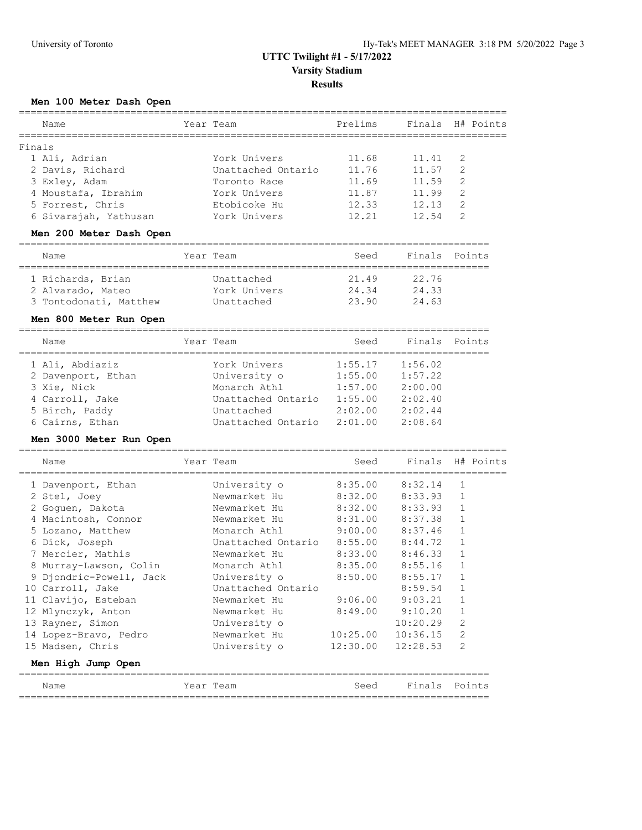## **UTTC Twilight #1 - 5/17/2022 Varsity Stadium**

### **Results**

#### **Men 100 Meter Dash Open**

| Name                                 | Year Team          | ========<br>Prelims   | Finals   | H# Points      |
|--------------------------------------|--------------------|-----------------------|----------|----------------|
| Finals                               |                    |                       |          |                |
| 1 Ali, Adrian                        | York Univers       | 11.68                 | 11.41    | 2              |
| 2 Davis, Richard                     | Unattached Ontario | 11.76                 | 11.57    | $\overline{2}$ |
| 3 Exley, Adam                        | Toronto Race       | 11.69                 | 11.59    | $\overline{2}$ |
| 4 Moustafa, Ibrahim                  | York Univers       | 11.87                 | 11.99    | 2              |
| 5 Forrest, Chris                     | Etobicoke Hu       | 12.33                 | 12.13    | 2              |
| 6 Sivarajah, Yathusan                | York Univers       | 12.21                 | 12.54    | $\overline{2}$ |
| Men 200 Meter Dash Open              |                    |                       |          |                |
|                                      |                    |                       |          |                |
| Name                                 | Year Team          | Seed                  | Finals   | Points         |
| 1 Richards, Brian                    | Unattached         | 21.49                 | 22.76    |                |
| 2 Alvarado, Mateo                    | York Univers       | 24.34                 | 24.33    |                |
| 3 Tontodonati, Matthew               | Unattached         | 23.90                 | 24.63    |                |
| Men 800 Meter Run Open               |                    |                       |          |                |
|                                      |                    |                       |          |                |
| Name                                 | Year Team          | Seed                  | Finals   | Points         |
| 1 Ali, Abdiaziz                      | York Univers       | 1:55.17               | 1:56.02  |                |
| 2 Davenport, Ethan                   | University o       | 1:55.00               | 1:57.22  |                |
| 3 Xie, Nick                          | Monarch Athl       | 1:57.00               | 2:00.00  |                |
| 4 Carroll, Jake                      | Unattached Ontario | 1:55.00               | 2:02.40  |                |
| 5 Birch, Paddy                       | Unattached         | 2:02.00               | 2:02.44  |                |
| 6 Cairns, Ethan                      | Unattached Ontario | 2:01.00               | 2:08.64  |                |
| Men 3000 Meter Run Open              |                    |                       |          |                |
| ==================================== |                    | ,,,,,,,,,,,,,,,,,,,,, |          |                |
| Name                                 | Year Team          | Seed                  | Finals   | H# Points      |
| 1 Davenport, Ethan                   | University o       | 8:35.00               | 8:32.14  | $\mathbf{1}$   |
| 2 Stel, Joey                         | Newmarket Hu       | 8:32.00               | 8:33.93  | $\mathbf{1}$   |
| 2 Goguen, Dakota                     | Newmarket Hu       | 8:32.00               | 8:33.93  | $\mathbf 1$    |
| 4 Macintosh, Connor                  | Newmarket Hu       | 8:31.00               | 8:37.38  | $\mathbf{1}$   |
| 5 Lozano, Matthew                    | Monarch Athl       | 9:00.00               | 8:37.46  | $\mathbf{1}$   |
| 6 Dick, Joseph                       | Unattached Ontario | 8:55.00               | 8:44.72  | $\mathbf 1$    |
| 7 Mercier, Mathis                    | Newmarket Hu       | 8:33.00               | 8:46.33  | $\mathbf{1}$   |
| 8 Murray-Lawson, Colin               | Monarch Athl       | 8:35.00               | 8:55.16  | $\mathbf{1}$   |
| 9 Djondric-Powell, Jack              | University o       | 8:50.00               | 8:55.17  | $\mathbf{1}$   |
| 10 Carroll, Jake                     | Unattached Ontario |                       | 8:59.54  | 1              |
| 11 Clavijo, Esteban                  | Newmarket Hu       | 9:06.00               | 9:03.21  | 1              |
| 12 Mlynczyk, Anton                   | Newmarket Hu       | 8:49.00               | 9:10.20  | 1              |
| 13 Rayner, Simon                     | University o       |                       | 10:20.29 | 2              |
| 14 Lopez-Bravo, Pedro                | Newmarket Hu       | 10:25.00              | 10:36.15 | 2              |
| 15 Madsen, Chris                     | University o       | 12:30.00              | 12:28.53 | 2              |
| Men High Jump Open                   |                    |                       |          |                |
|                                      |                    |                       |          |                |
| Name                                 | Year Team          | Seed                  |          | Finals Points  |

================================================================================